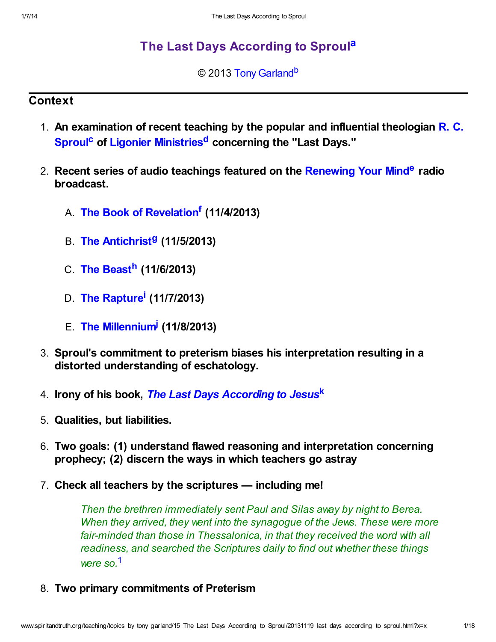# [The Last Days According to Sproul](http://www.spiritandtruth.org/teaching/topics_by_tony_garland/15_The_Last_Days_According_to_Sproul/index.htm)[a](#page-17-0)

### <span id="page-0-6"></span><span id="page-0-5"></span><span id="page-0-4"></span><span id="page-0-2"></span><span id="page-0-1"></span>© 2013 [Tony Garland](http://www.spiritandtruth.org/id/tg.htm)<sup>[b](#page-17-1)</sup>

## **Context**

- <span id="page-0-3"></span>1. An examination of recent teaching by the popular and influential theologian  $\mathsf{R}$ . C. Sproul<sup>[c](#page-17-2)</sup> of [Ligonier Ministries](http://www.ligonier.org/)<sup>[d](#page-17-3)</sup> concerning the "Last Days."
- <span id="page-0-7"></span>2. Recent series of audio teachings featured on the [Renewing Your Mind](http://www.ligonier.org/rym)<sup>[e](#page-17-4)</sup> radio broadcast.
	- A. [The Book of Revelation](http://www.ligonier.org/rym/broadcasts/audio/book-revelation-nov-2013/)<sup>[f](#page-17-5)</sup> (11/4/2013)
	- B. [The Antichrist](http://www.ligonier.org/rym/broadcasts/audio/antichrist-nov-2013/)<sup>9</sup> (11/5/2013)
	- C. [The Beast](http://www.ligonier.org/rym/broadcasts/audio/beast-nov-2013/)<sup>[h](#page-17-7)</sup> (11/6/2013)
	- D. [The Rapture](http://www.ligonier.org/rym/broadcasts/audio/rapture-nov-2013/)<sup>[i](#page-17-8)</sup> (11/7/2013)
	- E. [The Millennium](http://www.ligonier.org/rym/broadcasts/audio/millennium-nov-2013/)<sup>[j](#page-17-9)</sup> (11/8/2013)
- <span id="page-0-10"></span><span id="page-0-9"></span><span id="page-0-8"></span>3. Sproul's commitment to preterism biases his interpretation resulting in a distorted understanding of eschatology.
- 4. Irony of his book, [The Last Days According to Jesus](http://www.spiritandtruth.org/id/isbn.htm?978-0801063404)[k](#page-17-10)
- 5. Qualities, but liabilities.
- 6. Two goals: (1) understand flawed reasoning and interpretation concerning prophecy; (2) discern the ways in which teachers go astray
- 7. Check all teachers by the scriptures including me!

<span id="page-0-11"></span><span id="page-0-0"></span>Then the brethren immediately sent Paul and Silas away by night to Berea. When they arrived, they went into the synagogue of the Jews. These were more fair-minded than those in Thessalonica, in that they received the word with all readiness, and searched the Scriptures daily to find out whether these things were so.[1](#page-16-0)

8. Two primary commitments of Preterism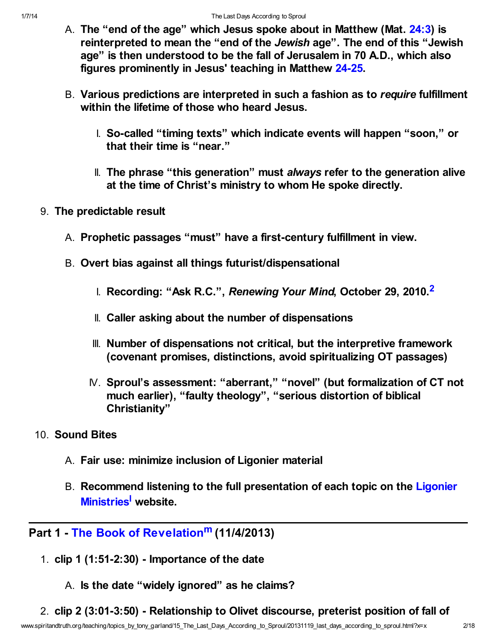- A. The "end of the age" which Jesus spoke about in Matthew (Mat. [24:3\)](http://www.spiritandtruth.org/bibles/nasb/b40c024.htm#Mat._C24V3) is reinterpreted to mean the "end of the Jewish age". The end of this "Jewish age" is then understood to be the fall of Jerusalem in 70 A.D., which also figures prominently in Jesus' teaching in Matthew [24-25.](http://www.spiritandtruth.org/bibles/nasb/b40c024.htm#Mat._C24V1)
- B. Various predictions are interpreted in such a fashion as to require fulfillment within the lifetime of those who heard Jesus.
	- I. So-called "timing texts" which indicate events will happen "soon," or that their time is "near."
	- II. The phrase "this generation" must always refer to the generation alive at the time of Christ's ministry to whom He spoke directly.
- <span id="page-1-0"></span>9. The predictable result
	- A. Prophetic passages "must" have a first-century fulfillment in view.
	- B. Overt bias against all things futurist/dispensational
		- I. Recording: "Ask R.C.", Renewing Your Mind, October [2](#page-16-1)9, 2010.<sup>2</sup>
		- II. Caller asking about the number of dispensations
		- III. Number of dispensations not critical, but the interpretive framework (covenant promises, distinctions, avoid spiritualizing OT passages)
		- IV. Sproul's assessment: "aberrant," "novel" (but formalization of CT not much earlier), "faulty theology", "serious distortion of biblical Christianity"
- 10. Sound Bites
	- A. Fair use: minimize inclusion of Ligonier material
	- B. [Recommend listening to the full presentation of each topic on the Ligonier](http://www.ligonier.org/) Ministries<sup>[l](#page-17-11)</sup> website.

## Part 1 - [The Book of Revelation](http://www.ligonier.org/rym/broadcasts/audio/book-revelation-nov-2013/)<sup>[m](#page-17-12)</sup> (11/4/2013)

- <span id="page-1-2"></span><span id="page-1-1"></span>1. clip 1 (1:51-2:30) - Importance of the date
	- A. Is the date "widely ignored" as he claims?
- 2. clip 2 (3:01-3:50) Relationship to Olivet discourse, preterist position of fall of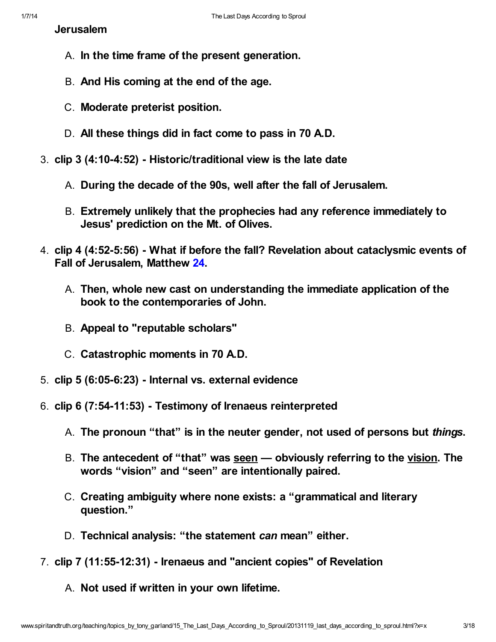Jerusalem

- A. In the time frame of the present generation.
- B. And His coming at the end of the age.
- C. Moderate preterist position.
- D. All these things did in fact come to pass in 70 A.D.
- 3. clip 3 (4:10-4:52) Historic/traditional view is the late date
	- A. During the decade of the 90s, well after the fall of Jerusalem.
	- B. Extremely unlikely that the prophecies had any reference immediately to Jesus' prediction on the Mt. of Olives.
- 4. clip 4 (4:52-5:56) What if before the fall? Revelation about cataclysmic events of Fall of Jerusalem, Matthew [24](http://www.spiritandtruth.org/bibles/nasb/b40c024.htm#Mat._C24V1).
	- A. Then, whole new cast on understanding the immediate application of the book to the contemporaries of John.
	- B. Appeal to "reputable scholars"
	- C. Catastrophic moments in 70 A.D.
- 5. clip 5 (6:05-6:23) Internal vs. external evidence
- 6. clip 6 (7:54-11:53) Testimony of Irenaeus reinterpreted
	- A. The pronoun "that" is in the neuter gender, not used of persons but things.
	- B. The antecedent of "that" was seen obviously referring to the vision. The words "vision" and "seen" are intentionally paired.
	- C. Creating ambiguity where none exists: a "grammatical and literary question."
	- D. Technical analysis: "the statement can mean" either.
- 7. clip 7 (11:55-12:31) Irenaeus and "ancient copies" of Revelation
	- A. Not used if written in your own lifetime.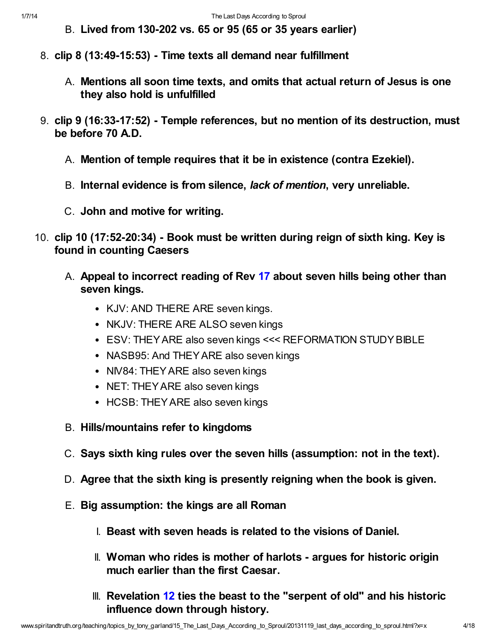- B. Lived from 130-202 vs. 65 or 95 (65 or 35 years earlier)
- 8. clip 8 (13:49-15:53) Time texts all demand near fulfillment
	- A. Mentions all soon time texts, and omits that actual return of Jesus is one they also hold is unfulfilled
- 9. clip 9 (16:33-17:52) Temple references, but no mention of its destruction, must be before 70 A.D.
	- A. Mention of temple requires that it be in existence (contra Ezekiel).
	- B. Internal evidence is from silence, lack of mention, very unreliable.
	- C. John and motive for writing.
- 10. clip 10 (17:52-20:34) Book must be written during reign of sixth king. Key is found in counting Caesers
	- A. Appeal to incorrect reading of Rev [17](http://www.spiritandtruth.org/bibles/nasb/b66c017.htm#Rev._C17V1) about seven hills being other than seven kings.
		- KJV: AND THERE ARE seven kings.
		- NKJV: THERE ARE ALSO seven kings
		- ESV: THEY ARE also seven kings <<< REFORMATION STUDY BIBLE
		- NASB95: And THEY ARE also seven kings
		- NIV84: THEY ARE also seven kings
		- NET: THEY ARE also seven kings
		- HCSB: THEY ARE also seven kings
	- B. Hills/mountains refer to kingdoms
	- C. Says sixth king rules over the seven hills (assumption: not in the text).
	- D. Agree that the sixth king is presently reigning when the book is given.
	- E. Big assumption: the kings are all Roman
		- I. Beast with seven heads is related to the visions of Daniel.
		- II. Woman who rides is mother of harlots argues for historic origin much earlier than the first Caesar.
		- $III.$  Revelation [12](http://www.spiritandtruth.org/bibles/nasb/b66c012.htm#Rev._C12V1) ties the beast to the "serpent of old" and his historic influence down through history.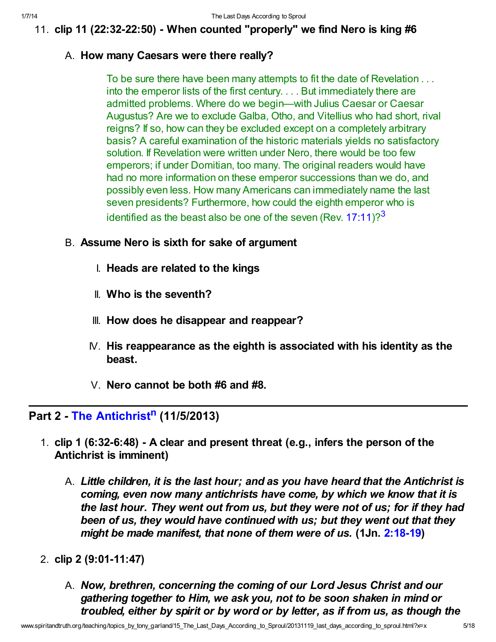11. clip 11 (22:32-22:50) - When counted "properly" we find Nero is king #6

### A. How many Caesars were there really?

To be sure there have been many attempts to fit the date of Revelation . . . into the emperor lists of the first century. . . . But immediately there are admitted problems. Where do we begin—with Julius Caesar or Caesar Augustus? Are we to exclude Galba, Otho, and Vitellius who had short, rival reigns? If so, how can they be excluded except on a completely arbitrary basis? A careful examination of the historic materials yields no satisfactory solution. If Revelation were written under Nero, there would be too few emperors; if under Domitian, too many. The original readers would have had no more information on these emperor successions than we do, and possibly even less. How many Americans can immediately name the last seven presidents? Furthermore, how could the eighth emperor who is identified as the beast also be one of the seven (Rev.  $17:11$ )?<sup>[3](#page-16-2)</sup>

## B. Assume Nero is sixth for sake of argument

- <span id="page-4-0"></span>I. Heads are related to the kings
- II. Who is the seventh?
- III. How does he disappear and reappear?
- $N$ . His reappearance as the eighth is associated with his identity as the beast.
- <span id="page-4-1"></span>V. Nero cannot be both #6 and #8.

# Part 2 - [The Antichrist](http://www.ligonier.org/rym/broadcasts/audio/antichrist-nov-2013/)<sup>[n](#page-17-13)</sup> (11/5/2013)

- 1. clip 1 (6:32-6:48) A clear and present threat (e.g., infers the person of the Antichrist is imminent)
	- A. Little children, it is the last hour; and as you have heard that the Antichrist is coming, even now many antichrists have come, by which we know that it is the last hour. They went out from us, but they were not of us; for if they had been of us, they would have continued with us; but they went out that they might be made manifest, that none of them were of us. (1Jn. [2:18-19\)](http://www.spiritandtruth.org/bibles/nasb/b62c002.htm#1Jn._C2V18)
- 2. clip 2 (9:01-11:47)
	- A. Now, brethren, concerning the coming of our Lord Jesus Christ and our gathering together to Him, we ask you, not to be soon shaken in mind or troubled, either by spirit or by word or by letter, as if from us, as though the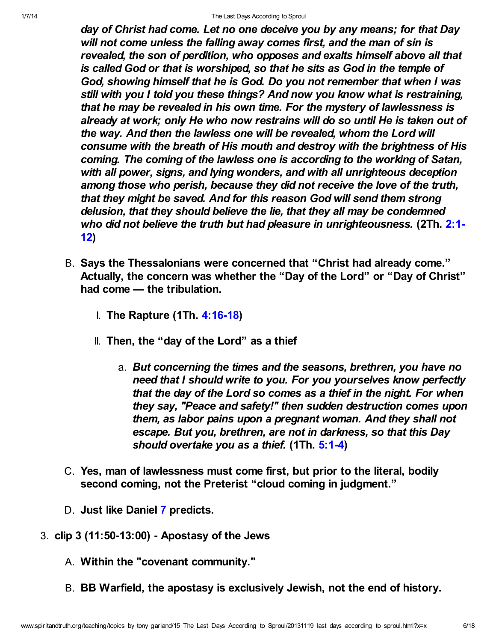day of Christ had come. Let no one deceive you by any means; for that Day will not come unless the falling away comes first, and the man of sin is revealed, the son of perdition, who opposes and exalts himself above all that is called God or that is worshiped, so that he sits as God in the temple of God, showing himself that he is God. Do you not remember that when I was still with you I told you these things? And now you know what is restraining, that he may be revealed in his own time. For the mystery of lawlessness is already at work; only He who now restrains will do so until He is taken out of the way. And then the lawless one will be revealed, whom the Lord will consume with the breath of His mouth and destroy with the brightness of His coming. The coming of the lawless one is according to the working of Satan, with all power, signs, and lying wonders, and with all unrighteous deception among those who perish, because they did not receive the love of the truth, that they might be saved. And for this reason God will send them strong delusion, that they should believe the lie, that they all may be condemned [who did not believe the truth but had pleasure in unrighteousness.](http://www.spiritandtruth.org/bibles/nasb/b53c002.htm#2Th._C2V1) (2Th. 2:1-12)

- B. Says the Thessalonians were concerned that "Christ had already come." Actually, the concern was whether the "Day of the Lord" or "Day of Christ" had come — the tribulation.
	- **I. The Rapture (1Th. [4:16-18\)](http://www.spiritandtruth.org/bibles/nasb/b52c004.htm#1Th._C4V16)**
	- II. Then, the "day of the Lord" as a thief
		- a. But concerning the times and the seasons, brethren, you have no need that I should write to you. For you yourselves know perfectly that the day of the Lord so comes as a thief in the night. For when they say, "Peace and safety!" then sudden destruction comes upon them, as labor pains upon a pregnant woman. And they shall not escape. But you, brethren, are not in darkness, so that this Day should overtake you as a thief. (1Th. [5:1-4\)](http://www.spiritandtruth.org/bibles/nasb/b52c005.htm#1Th._C5V1)
- C. Yes, man of lawlessness must come first, but prior to the literal, bodily second coming, not the Preterist "cloud coming in judgment."
- D. Just like Daniel [7](http://www.spiritandtruth.org/bibles/nasb/b27c007.htm#Dan._C7V1) predicts.
- 3. clip 3 (11:50-13:00) Apostasy of the Jews
	- A. Within the "covenant community."
	- B. BB Warfield, the apostasy is exclusively Jewish, not the end of history.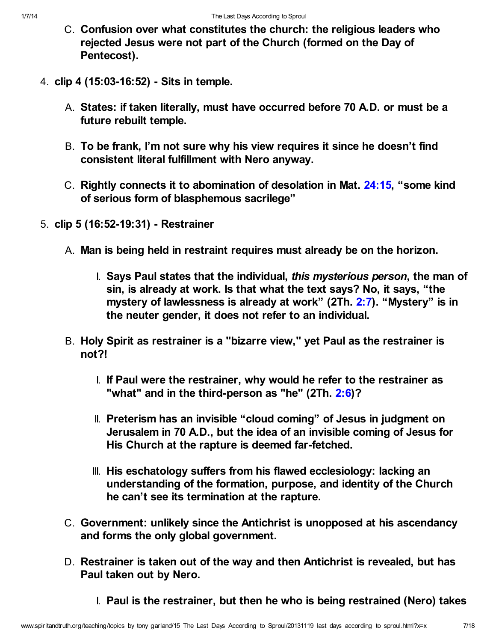- C. Confusion over what constitutes the church: the religious leaders who rejected Jesus were not part of the Church (formed on the Day of Pentecost).
- 4. clip 4 (15:03-16:52) Sits in temple.
	- A. States: if taken literally, must have occurred before 70 A.D. or must be a future rebuilt temple.
	- B. To be frank, I'm not sure why his view requires it since he doesn't find consistent literal fulfillment with Nero anyway.
	- C. Rightly connects it to abomination of desolation in Mat. [24:15](http://www.spiritandtruth.org/bibles/nasb/b40c024.htm#Mat._C24V15), "some kind of serious form of blasphemous sacrilege"
- 5. clip 5 (16:52-19:31) Restrainer
	- A. Man is being held in restraint requires must already be on the horizon.
		- I. Says Paul states that the individual, this mysterious person, the man of sin, is already at work. Is that what the text says? No, it says, "the mystery of lawlessness is already at work" (2Th. [2:7](http://www.spiritandtruth.org/bibles/nasb/b53c002.htm#2Th._C2V7)). "Mystery" is in the neuter gender, it does not refer to an individual.
	- B. Holy Spirit as restrainer is a "bizarre view," yet Paul as the restrainer is not?!
		- I. If Paul were the restrainer, why would he refer to the restrainer as "what" and in the third-person as "he" (2Th. [2:6](http://www.spiritandtruth.org/bibles/nasb/b53c002.htm#2Th._C2V6))?
		- II. Preterism has an invisible "cloud coming" of Jesus in judgment on Jerusalem in 70 A.D., but the idea of an invisible coming of Jesus for His Church at the rapture is deemed far-fetched.
		- III. His eschatology suffers from his flawed ecclesiology: lacking an understanding of the formation, purpose, and identity of the Church he can't see its termination at the rapture.
	- C. Government: unlikely since the Antichrist is unopposed at his ascendancy and forms the only global government.
	- D. Restrainer is taken out of the way and then Antichrist is revealed, but has Paul taken out by Nero.
		- I. Paul is the restrainer, but then he who is being restrained (Nero) takes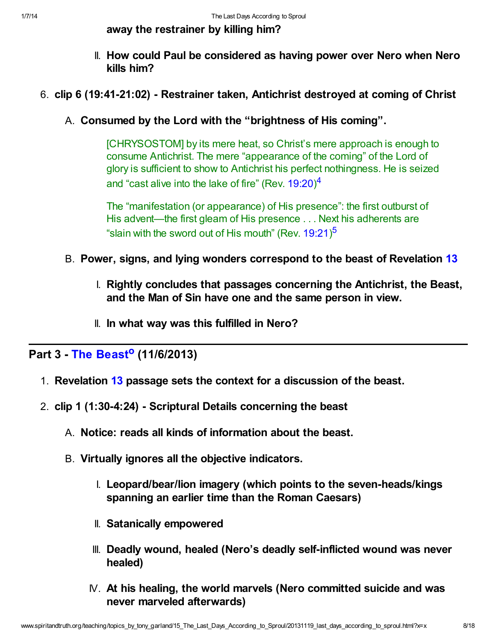away the restrainer by killing him?

- II. How could Paul be considered as having power over Nero when Nero kills him?
- 6. clip 6 (19:41-21:02) Restrainer taken, Antichrist destroyed at coming of Christ
	- A. Consumed by the Lord with the "brightness of His coming".

[CHRYSOSTOM] by its mere heat, so Christ's mere approach is enough to consume Antichrist. The mere "appearance of the coming" of the Lord of glory is sufficient to show to Antichrist his perfect nothingness. He is seized and "cast alive into the lake of fire" (Rev.  $19:20)^4$  $19:20)^4$ 

<span id="page-7-1"></span><span id="page-7-0"></span>The "manifestation (or appearance) of His presence": the first outburst of His advent—the first gleam of His presence . . . Next his adherents are "slain with the sword out of His mouth" (Rev.  $19:21$ )<sup>[5](#page-16-4)</sup>

- B. Power, signs, and lying wonders correspond to the beast of Revelation [13](http://www.spiritandtruth.org/bibles/nasb/b66c013.htm#Rev._C13V1)
	- I. Rightly concludes that passages concerning the Antichrist, the Beast, and the Man of Sin have one and the same person in view.
	- II. In what way was this fulfilled in Nero?

Part 3 - [The Beast](http://www.ligonier.org/rym/broadcasts/audio/beast-nov-2013/)<sup>[o](#page-17-14)</sup> (11/6/2013)

- <span id="page-7-2"></span>1. Revelation [13](http://www.spiritandtruth.org/bibles/nasb/b66c013.htm#Rev._C13V1) passage sets the context for a discussion of the beast.
- 2. clip 1 (1:30-4:24) Scriptural Details concerning the beast
	- A. Notice: reads all kinds of information about the beast.
	- B. Virtually ignores all the objective indicators.
		- I. Leopard/bear/lion imagery (which points to the seven-heads/kings spanning an earlier time than the Roman Caesars)
		- II. Satanically empowered
		- III. Deadly wound, healed (Nero's deadly self-inflicted wound was never healed)
		- IV. At his healing, the world marvels (Nero committed suicide and was never marveled afterwards)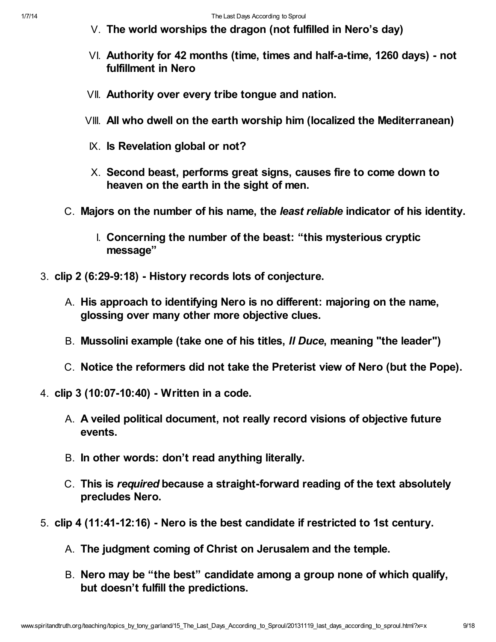- V. The world worships the dragon (not fulfilled in Nero's day)
- VI. Authority for 42 months (time, times and half-a-time, 1260 days) not fulfillment in Nero
- VII. Authority over every tribe tongue and nation.
- VIII. All who dwell on the earth worship him (localized the Mediterranean)
- IX. Is Revelation global or not?
- X. Second beast, performs great signs, causes fire to come down to heaven on the earth in the sight of men.
- C. Majors on the number of his name, the least reliable indicator of his identity.
	- I. Concerning the number of the beast: "this mysterious cryptic message"
- 3. clip 2 (6:29-9:18) History records lots of conjecture.
	- A. His approach to identifying Nero is no different: majoring on the name, glossing over many other more objective clues.
	- B. Mussolini example (take one of his titles, *II Duce*, meaning "the leader")
	- C. Notice the reformers did not take the Preterist view of Nero (but the Pope).
- 4. clip 3 (10:07-10:40) Written in a code.
	- A. A veiled political document, not really record visions of objective future events.
	- B. In other words: don't read anything literally.
	- C. This is required because a straight-forward reading of the text absolutely precludes Nero.
- 5. clip 4 (11:41-12:16) Nero is the best candidate if restricted to 1st century.
	- A. The judgment coming of Christ on Jerusalem and the temple.
	- B. Nero may be "the best" candidate among a group none of which qualify, but doesn't fulfill the predictions.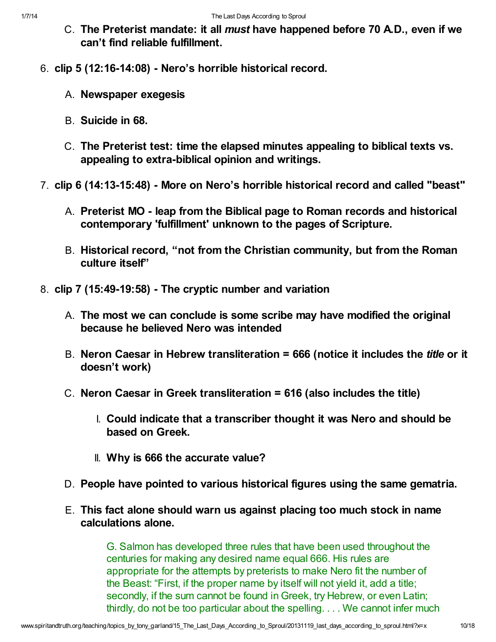- C. The Preterist mandate: it all must have happened before 70 A.D., even if we can't find reliable fulfillment.
- 6. clip 5 (12:16-14:08) Nero's horrible historical record.
	- A. Newspaper exegesis
	- B. Suicide in 68.
	- C. The Preterist test: time the elapsed minutes appealing to biblical texts vs. appealing to extra-biblical opinion and writings.
- 7. clip 6 (14:13-15:48) More on Nero's horrible historical record and called "beast"
	- A. Preterist MO leap from the Biblical page to Roman records and historical contemporary 'fulfillment' unknown to the pages of Scripture.
	- B. Historical record, "not from the Christian community, but from the Roman culture itself"
- 8. clip 7 (15:49-19:58) The cryptic number and variation
	- A. The most we can conclude is some scribe may have modified the original because he believed Nero was intended
	- B. Neron Caesar in Hebrew transliteration = 666 (notice it includes the *title* or it doesn't work)
	- C. Neron Caesar in Greek transliteration = 616 (also includes the title)
		- I. Could indicate that a transcriber thought it was Nero and should be based on Greek.
		- II. Why is 666 the accurate value?
	- D. People have pointed to various historical figures using the same gematria.
	- E. This fact alone should warn us against placing too much stock in name calculations alone.

G. Salmon has developed three rules that have been used throughout the centuries for making any desired name equal 666. His rules are appropriate for the attempts by preterists to make Nero fit the number of the Beast: "First, if the proper name by itself will not yield it, add a title; secondly, if the sum cannot be found in Greek, try Hebrew, or even Latin; thirdly, do not be too particular about the spelling. . . . We cannot infer much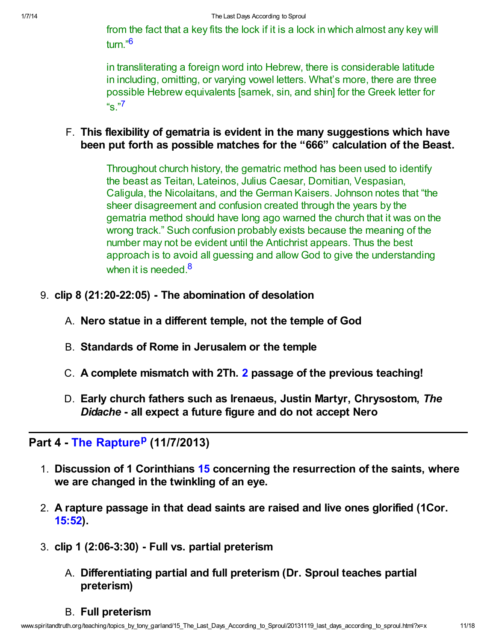<span id="page-10-0"></span>from the fact that a key fits the lock if it is a lock in which almost any key will turn."[6](#page-16-5)

<span id="page-10-1"></span>in transliterating a foreign word into Hebrew, there is considerable latitude in including, omitting, or varying vowel letters. What's more, there are three possible Hebrew equivalents [samek, sin, and shin] for the Greek letter for "s."[7](#page-16-6)

F. This flexibility of gematria is evident in the many suggestions which have been put forth as possible matches for the "666" calculation of the Beast.

> <span id="page-10-2"></span>Throughout church history, the gematric method has been used to identify the beast as Teitan, Lateinos, Julius Caesar, Domitian, Vespasian, Caligula, the Nicolaitans, and the German Kaisers. Johnson notes that "the sheer disagreement and confusion created through the years by the gematria method should have long ago warned the church that it was on the wrong track." Such confusion probably exists because the meaning of the number may not be evident until the Antichrist appears. Thus the best approach is to avoid all guessing and allow God to give the understanding when it is needed  $8$

- 9. clip 8 (21:20-22:05) The abomination of desolation
	- A. Nero statue in a different temple, not the temple of God
	- B. Standards of Rome in Jerusalem or the temple
	- C. A complete mismatch with 2Th. [2](http://www.spiritandtruth.org/bibles/nasb/b53c002.htm#2Th._C2V1) passage of the previous teaching!
	- D. Early church fathers such as Irenaeus, Justin Martyr, Chrysostom, The Didache - all expect a future figure and do not accept Nero

# Part 4 - [The Rapture](http://www.ligonier.org/rym/broadcasts/audio/rapture-nov-2013/)<su[p](#page-17-15)>p</sup> (11/7/2013)

- <span id="page-10-3"></span>1. Discussion of 1 Corinthians [15](http://www.spiritandtruth.org/bibles/nasb/b46c015.htm#1Cor._C15V1) concerning the resurrection of the saints, where we are changed in the twinkling of an eye.
- 2. A rapture passage in that dead saints are raised and live ones glorified (1Cor. [15:52](http://www.spiritandtruth.org/bibles/nasb/b46c015.htm#1Cor._C15V52)).
- 3. clip 1 (2:06-3:30) Full vs. partial preterism
	- A. Differentiating partial and full preterism (Dr. Sproul teaches partial preterism)
	- B. Full preterism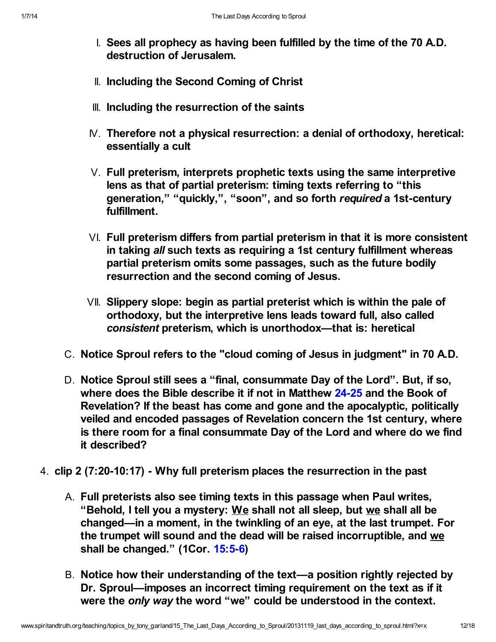- I. Sees all prophecy as having been fulfilled by the time of the 70 A.D. destruction of Jerusalem.
- II. Including the Second Coming of Christ
- III. Including the resurrection of the saints
- IV. Therefore not a physical resurrection: a denial of orthodoxy, heretical: essentially a cult
- V. Full preterism, interprets prophetic texts using the same interpretive lens as that of partial preterism: timing texts referring to "this generation," "quickly,", "soon", and so forth required a 1st-century fulfillment.
- VI. Full preterism differs from partial preterism in that it is more consistent in taking all such texts as requiring a 1st century fulfillment whereas partial preterism omits some passages, such as the future bodily resurrection and the second coming of Jesus.
- VII. Slippery slope: begin as partial preterist which is within the pale of orthodoxy, but the interpretive lens leads toward full, also called consistent preterism, which is unorthodox—that is: heretical
- C. Notice Sproul refers to the "cloud coming of Jesus in judgment" in 70 A.D.
- D. Notice Sproul still sees a "final, consummate Day of the Lord". But, if so, where does the Bible describe it if not in Matthew [24-25](http://www.spiritandtruth.org/bibles/nasb/b40c024.htm#Mat._C24V1) and the Book of Revelation? If the beast has come and gone and the apocalyptic, politically veiled and encoded passages of Revelation concern the 1st century, where is there room for a final consummate Day of the Lord and where do we find it described?
- 4. clip 2 (7:20-10:17) Why full preterism places the resurrection in the past
	- A. Full preterists also see timing texts in this passage when Paul writes, "Behold, I tell you a mystery: We shall not all sleep, but we shall all be changed—in a moment, in the twinkling of an eye, at the last trumpet. For the trumpet will sound and the dead will be raised incorruptible, and we shall be changed." (1Cor. [15:5-6](http://www.spiritandtruth.org/bibles/nasb/b46c015.htm#1Cor._C15V5))
	- B. Notice how their understanding of the text—a position rightly rejected by Dr. Sproul—imposes an incorrect timing requirement on the text as if it were the only way the word "we" could be understood in the context.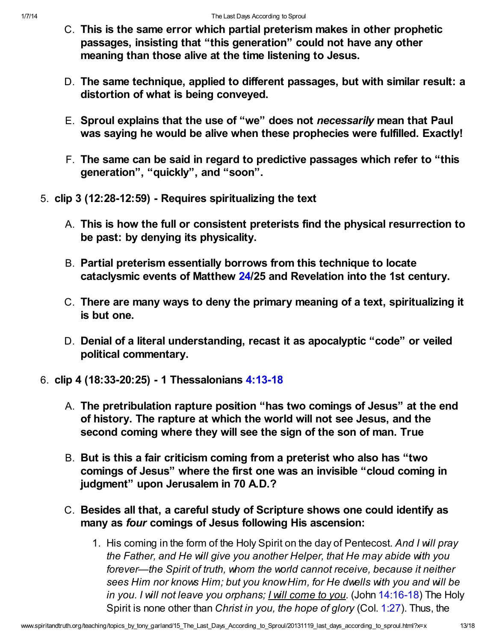- C. This is the same error which partial preterism makes in other prophetic passages, insisting that "this generation" could not have any other meaning than those alive at the time listening to Jesus.
- D. The same technique, applied to different passages, but with similar result: a distortion of what is being conveyed.
- E. Sproul explains that the use of "we" does not necessarily mean that Paul was saying he would be alive when these prophecies were fulfilled. Exactly!
- F. The same can be said in regard to predictive passages which refer to "this generation", "quickly", and "soon".
- 5. clip 3 (12:28-12:59) Requires spiritualizing the text
	- A. This is how the full or consistent preterists find the physical resurrection to be past: by denying its physicality.
	- B. Partial preterism essentially borrows from this technique to locate cataclysmic events of Matthew [24](http://www.spiritandtruth.org/bibles/nasb/b40c024.htm#Mat._C24V1)/25 and Revelation into the 1st century.
	- C. There are many ways to deny the primary meaning of a text, spiritualizing it is but one.
	- D. Denial of a literal understanding, recast it as apocalyptic "code" or veiled political commentary.
- 6. clip 4 (18:33-20:25) 1 Thessalonians [4:13-18](http://www.spiritandtruth.org/bibles/nasb/b52c004.htm#1Th._C4V13)
	- A. The pretribulation rapture position "has two comings of Jesus" at the end of history. The rapture at which the world will not see Jesus, and the second coming where they will see the sign of the son of man. True
	- B. But is this a fair criticism coming from a preterist who also has "two comings of Jesus" where the first one was an invisible "cloud coming in judgment" upon Jerusalem in 70 A.D.?
	- C. Besides all that, a careful study of Scripture shows one could identify as many as four comings of Jesus following His ascension:
		- 1. His coming in the form of the Holy Spirit on the day of Pentecost. And I will pray the Father, and He will give you another Helper, that He may abide with you forever—the Spirit of truth, whom the world cannot receive, because it neither sees Him nor knows Him; but you know Him, for He dwells with you and will be in you. I will not leave you orphans; I will come to you. (John [14:16-18\)](http://www.spiritandtruth.org/bibles/nasb/b43c014.htm#John_C14V16) The Holy Spirit is none other than Christ in you, the hope of glory (Col. [1:27](http://www.spiritandtruth.org/bibles/nasb/b51c001.htm#Col._C1V27)). Thus, the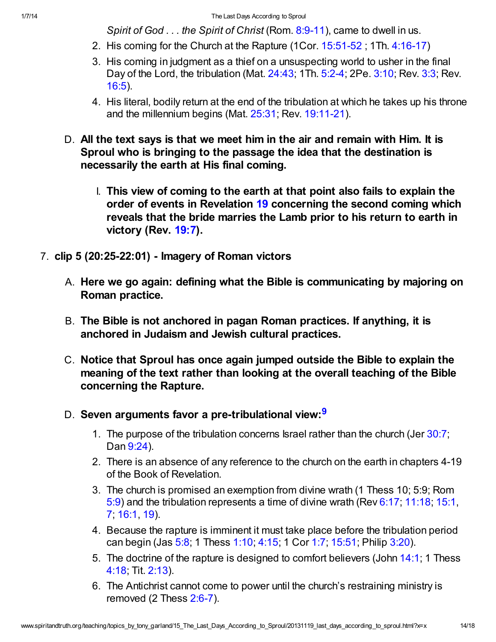Spirit of God  $\ldots$  the Spirit of Christ (Rom. [8:9-11](http://www.spiritandtruth.org/bibles/nasb/b45c008.htm#Rom._C8V9)), came to dwell in us.

- 2. His coming for the Church at the Rapture (1Cor. [15:51-52](http://www.spiritandtruth.org/bibles/nasb/b46c015.htm#1Cor._C15V51) ; 1Th. [4:16-17](http://www.spiritandtruth.org/bibles/nasb/b52c004.htm#1Th._C4V16))
- 3. His coming in judgment as a thief on a unsuspecting world to usher in the final Day of the Lord, the tribulation (Mat. [24:43;](http://www.spiritandtruth.org/bibles/nasb/b40c024.htm#Mat._C24V43) 1Th. [5:2-4](http://www.spiritandtruth.org/bibles/nasb/b52c005.htm#1Th._C5V2); 2Pe. [3:10](http://www.spiritandtruth.org/bibles/nasb/b61c003.htm#2Pe._C3V10); Rev. [3:3](http://www.spiritandtruth.org/bibles/nasb/b66c003.htm#Rev._C3V3); Rev. [16:5](http://www.spiritandtruth.org/bibles/nasb/b66c016.htm#Rev._C16V5)).
- 4. His literal, bodily return at the end of the tribulation at which he takes up his throne and the millennium begins (Mat. [25:31](http://www.spiritandtruth.org/bibles/nasb/b40c025.htm#Mat._C25V31); Rev. [19:11-21](http://www.spiritandtruth.org/bibles/nasb/b66c019.htm#Rev._C19V11)).
- D. All the text says is that we meet him in the air and remain with Him. It is Sproul who is bringing to the passage the idea that the destination is necessarily the earth at His final coming.
	- I. This view of coming to the earth at that point also fails to explain the order of events in Revelation [19](http://www.spiritandtruth.org/bibles/nasb/b66c019.htm#Rev._C19V1) concerning the second coming which reveals that the bride marries the Lamb prior to his return to earth in victory (Rev. [19:7](http://www.spiritandtruth.org/bibles/nasb/b66c019.htm#Rev._C19V7)).
- <span id="page-13-0"></span>7. clip 5 (20:25-22:01) - Imagery of Roman victors
	- A. Here we go again: defining what the Bible is communicating by majoring on Roman practice.
	- B. The Bible is not anchored in pagan Roman practices. If anything, it is anchored in Judaism and Jewish cultural practices.
	- C. Notice that Sproul has once again jumped outside the Bible to explain the meaning of the text rather than looking at the overall teaching of the Bible concerning the Rapture.
	- D. Seven arguments favor a pre-tribulational view:<sup>[9](#page-17-16)</sup>
		- 1. The purpose of the tribulation concerns Israel rather than the church (Jer [30:7;](http://www.spiritandtruth.org/bibles/nasb/b24c030.htm#Jer._C30V7) Dan [9:24\)](http://www.spiritandtruth.org/bibles/nasb/b27c009.htm#Dan._C9V24).
		- 2. There is an absence of any reference to the church on the earth in chapters 4-19 of the Book of Revelation.
		- 3. The church is promised an exemption from divine wrath (1 Thess 10; 5:9; Rom [5:9](http://www.spiritandtruth.org/bibles/nasb/b45c005.htm#Rom._C5V9)) and the tribulation represents a time of divine wrath (Rev [6:17;](http://www.spiritandtruth.org/bibles/nasb/b66c006.htm#Rev._C6V17) [11:18;](http://www.spiritandtruth.org/bibles/nasb/b66c011.htm#Rev._C11V18) [15:1](http://www.spiritandtruth.org/bibles/nasb/b66c015.htm#Rev._C15V1), [7;](http://www.spiritandtruth.org/bibles/nasb/b66c015.htm#Rev._C15V7) [16:1,](http://www.spiritandtruth.org/bibles/nasb/b66c016.htm#Rev._C16V1) [19\)](http://www.spiritandtruth.org/bibles/nasb/b66c016.htm#Rev._C16V19).
		- 4. Because the rapture is imminent it must take place before the tribulation period can begin (Jas [5:8](http://www.spiritandtruth.org/bibles/nasb/b59c005.htm#Jas._C5V8); 1 Thess [1:10;](http://www.spiritandtruth.org/bibles/nasb/b52c001.htm#1Th._C1V10) [4:15;](http://www.spiritandtruth.org/bibles/nasb/b52c004.htm#1Th._C4V15) 1 Cor [1:7](http://www.spiritandtruth.org/bibles/nasb/b46c001.htm#1Cor._C1V7); [15:51;](http://www.spiritandtruth.org/bibles/nasb/b46c015.htm#1Cor._C15V51) Philip [3:20](http://www.spiritandtruth.org/bibles/nasb/b50c003.htm#Php._C3V20)).
		- 5. The doctrine of the rapture is designed to comfort believers (John [14:1](http://www.spiritandtruth.org/bibles/nasb/b43c014.htm#John_C14V1); 1 Thess [4:18](http://www.spiritandtruth.org/bibles/nasb/b52c004.htm#1Th._C4V18); Tit. [2:13\)](http://www.spiritandtruth.org/bibles/nasb/b56c002.htm#Tit._C2V13).
		- 6. The Antichrist cannot come to power until the church's restraining ministry is removed (2 Thess [2:6-7\)](http://www.spiritandtruth.org/bibles/nasb/b53c002.htm#2Th._C2V6).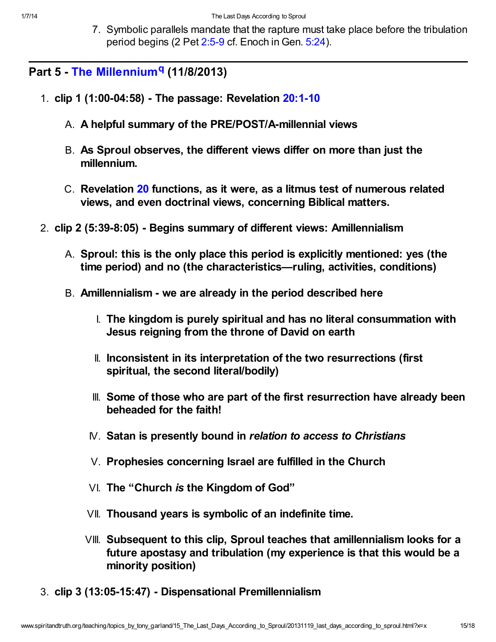<span id="page-14-0"></span>7. Symbolic parallels mandate that the rapture must take place before the tribulation period begins (2 Pet [2:5-9](http://www.spiritandtruth.org/bibles/nasb/b61c002.htm#2Pe._C2V5) cf. Enoch in Gen. [5:24](http://www.spiritandtruth.org/bibles/nasb/b01c005.htm#Gen._C5V24)).

Part 5 - [The Millennium](http://www.ligonier.org/rym/broadcasts/audio/millennium-nov-2013/)<sup>[q](#page-17-17)</sup> (11/8/2013)

- 1. clip 1 (1:00-04:58) The passage: Revelation [20:1-10](http://www.spiritandtruth.org/bibles/nasb/b66c020.htm#Rev._C20V1)
	- A. A helpful summary of the PRE/POST/A-millennial views
	- B. As Sproul observes, the different views differ on more than just the millennium.
	- C. Revelation [20](http://www.spiritandtruth.org/bibles/nasb/b66c020.htm#Rev._C20V1) functions, as it were, as a litmus test of numerous related views, and even doctrinal views, concerning Biblical matters.
- 2. clip 2 (5:39-8:05) Begins summary of different views: Amillennialism
	- A. Sproul: this is the only place this period is explicitly mentioned: yes (the time period) and no (the characteristics—ruling, activities, conditions)
	- B. Amillennialism we are already in the period described here
		- I. The kingdom is purely spiritual and has no literal consummation with Jesus reigning from the throne of David on earth
		- II. Inconsistent in its interpretation of the two resurrections (first spiritual, the second literal/bodily)
		- III. Some of those who are part of the first resurrection have already been beheaded for the faith!
		- IV. Satan is presently bound in relation to access to Christians
		- V. Prophesies concerning Israel are fulfilled in the Church
		- VI. The "Church is the Kingdom of God"
		- VII. Thousand years is symbolic of an indefinite time.
		- VIII. Subsequent to this clip, Sproul teaches that amillennialism looks for a future apostasy and tribulation (my experience is that this would be a minority position)
- 3. clip 3 (13:05-15:47) Dispensational Premillennialism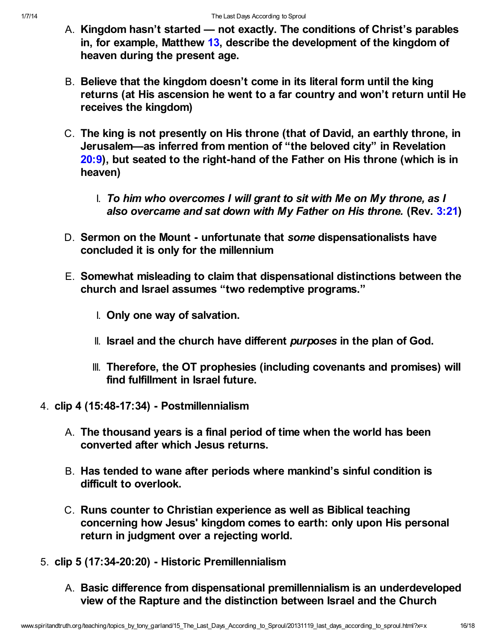- A. Kingdom hasn't started not exactly. The conditions of Christ's parables in, for example, Matthew [13,](http://www.spiritandtruth.org/bibles/nasb/b40c013.htm#Mat._C13V1) describe the development of the kingdom of heaven during the present age.
- B. Believe that the kingdom doesn't come in its literal form until the king returns (at His ascension he went to a far country and won't return until He receives the kingdom)
- C. The king is not presently on His throne (that of David, an earthly throne, in Jerusalem—as inferred from mention of "the beloved city" in Revelation [20:9\)](http://www.spiritandtruth.org/bibles/nasb/b66c020.htm#Rev._C20V9), but seated to the right-hand of the Father on His throne (which is in heaven)
	- I. To him who overcomes I will grant to sit with Me on My throne, as I also overcame and sat down with My Father on His throne. (Rev. [3:21\)](http://www.spiritandtruth.org/bibles/nasb/b66c003.htm#Rev._C3V21)
- D. Sermon on the Mount unfortunate that some dispensationalists have concluded it is only for the millennium
- E. Somewhat misleading to claim that dispensational distinctions between the church and Israel assumes "two redemptive programs."
	- I. Only one way of salvation.
	- II. Israel and the church have different purposes in the plan of God.
	- III. Therefore, the OT prophesies (including covenants and promises) will find fulfillment in Israel future.
- 4. clip 4 (15:48-17:34) Postmillennialism
	- A. The thousand years is a final period of time when the world has been converted after which Jesus returns.
	- B. Has tended to wane after periods where mankind's sinful condition is difficult to overlook.
	- C. Runs counter to Christian experience as well as Biblical teaching concerning how Jesus' kingdom comes to earth: only upon His personal return in judgment over a rejecting world.
- 5. clip 5 (17:34-20:20) Historic Premillennialism
	- A. Basic difference from dispensational premillennialism is an underdeveloped view of the Rapture and the distinction between Israel and the Church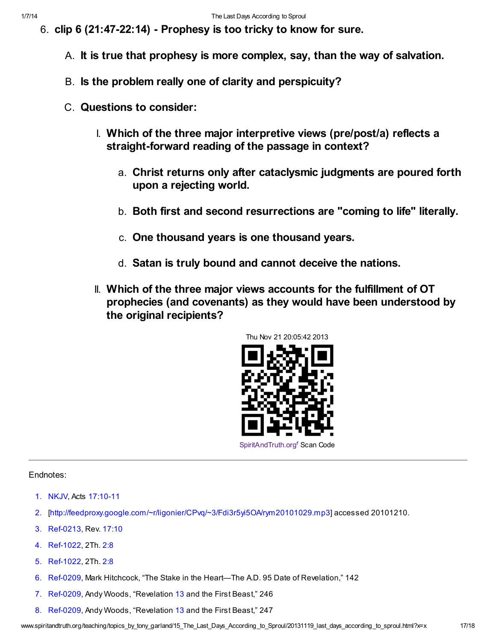- 6. clip 6 (21:47-22:14) Prophesy is too tricky to know for sure.
	- A. It is true that prophesy is more complex, say, than the way of salvation.
	- B. Is the problem really one of clarity and perspicuity?
	- C. Questions to consider:
		- I. Which of the three major interpretive views (pre/post/a) reflects a straight-forward reading of the passage in context?
			- a. Christ returns only after cataclysmic judgments are poured forth upon a rejecting world.
			- b. Both first and second resurrections are "coming to life" literally.
			- c. One thousand years is one thousand years.
			- d. Satan is truly bound and cannot deceive the nations.
		- II. Which of the three major views accounts for the fulfillment of OT prophecies (and covenants) as they would have been understood by the original recipients?

<span id="page-16-8"></span>

#### Endnotes:

- <span id="page-16-0"></span>[1.](#page-0-0) NKJV, Acts [17:10-11](http://www.spiritandtruth.org/bibles/nasb/b44c017.htm#Acts_C17V10)
- <span id="page-16-1"></span>[2.](#page-1-0) [\[http://feedproxy.google.com/~r/ligonier/CPvq/~3/Fdi3r5yi5OA/rym20101029.mp3\]](http://feedproxy.google.com/~r/ligonier/CPvq/~3/Fdi3r5yi5OA/rym20101029.mp3) accessed 20101210.
- <span id="page-16-2"></span>[3.](#page-4-0) Ref-0213, Rev. [17:10](http://www.spiritandtruth.org/bibles/nasb/b66c017.htm#Rev._C17V10)
- <span id="page-16-3"></span>[4.](#page-7-0) Ref-1022, 2Th. [2:8](http://www.spiritandtruth.org/bibles/nasb/b53c002.htm#2Th._C2V8)
- <span id="page-16-4"></span>[5.](#page-7-1) Ref-1022, 2Th. [2:8](http://www.spiritandtruth.org/bibles/nasb/b53c002.htm#2Th._C2V8)
- <span id="page-16-5"></span>[6.](#page-10-0) Ref-0209, Mark Hitchcock, "The Stake in the Heart—The A.D. 95 Date of Revelation," 142
- <span id="page-16-6"></span>[7.](#page-10-1) Ref-0209, Andy Woods, "Revelation [13](http://www.spiritandtruth.org/bibles/nasb/b66c013.htm#Rev._C13V1) and the First Beast," 246
- <span id="page-16-7"></span>[8.](#page-10-2) Ref-0209, Andy Woods, "Revelation [13](http://www.spiritandtruth.org/bibles/nasb/b66c013.htm#Rev._C13V1) and the First Beast," 247